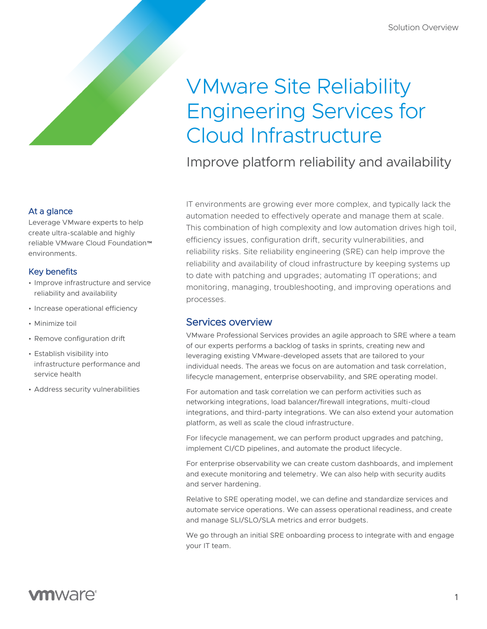# VMware Site Reliability Engineering Services for Cloud Infrastructure

Improve platform reliability and availability

IT environments are growing ever more complex, and typically lack the automation needed to effectively operate and manage them at scale. This combination of high complexity and low automation drives high toil, efficiency issues, configuration drift, security vulnerabilities, and reliability risks. Site reliability engineering (SRE) can help improve the reliability and availability of cloud infrastructure by keeping systems up to date with patching and upgrades; automating IT operations; and monitoring, managing, troubleshooting, and improving operations and processes.

# Services overview

VMware Professional Services provides an agile approach to SRE where a team of our experts performs a backlog of tasks in sprints, creating new and leveraging existing VMware-developed assets that are tailored to your individual needs. The areas we focus on are automation and task correlation, lifecycle management, enterprise observability, and SRE operating model.

For automation and task correlation we can perform activities such as networking integrations, load balancer/firewall integrations, multi-cloud integrations, and third-party integrations. We can also extend your automation platform, as well as scale the cloud infrastructure.

For lifecycle management, we can perform product upgrades and patching, implement CI/CD pipelines, and automate the product lifecycle.

For enterprise observability we can create custom dashboards, and implement and execute monitoring and telemetry. We can also help with security audits and server hardening.

Relative to SRE operating model, we can define and standardize services and automate service operations. We can assess operational readiness, and create and manage SLI/SLO/SLA metrics and error budgets.

We go through an initial SRE onboarding process to integrate with and engage your IT team.

## At a glance

Leverage VMware experts to help create ultra-scalable and highly reliable VMware Cloud Foundation™ environments.

### Key benefits

- Improve infrastructure and service reliability and availability
- Increase operational efficiency
- Minimize toil
- Remove configuration drift
- Establish visibility into infrastructure performance and service health
- Address security vulnerabilities